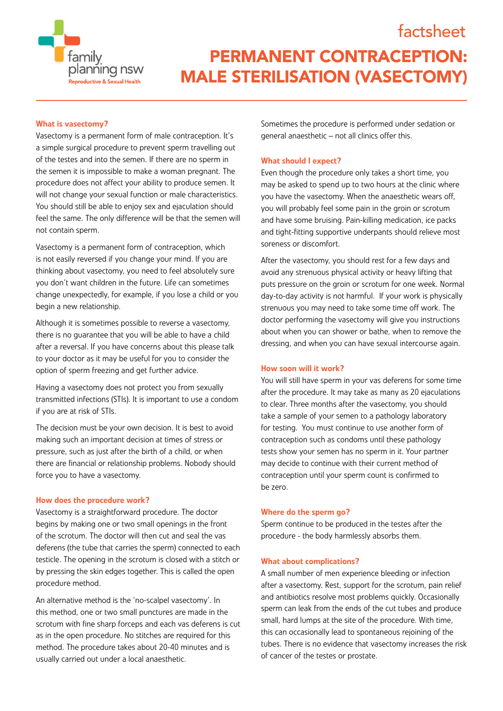

# **PERMANENT CONTRACEPTION: MALE STERILISATION (VASECTOMY)**

## What is vasectomy?

Vasectomy is a permanent form of male contraception. It's a simple surgical procedure to prevent sperm travelling out of the testes and into the semen. If there are no sperm in the semen it is impossible to make a woman pregnant. The procedure does not affect your ability to produce semen. It will not change your sexual function or male characteristics. You should still be able to enjoy sex and ejaculation should feel the same. The only difference will be that the semen will not contain sperm.

Vasectomy is a permanent form of contraception, which is not easily reversed if you change your mind. If you are thinking about vasectomy, you need to feel absolutely sure you don't want children in the future. Life can sometimes change unexpectedly, for example, if you lose a child or you begin a new relationship.

Although it is sometimes possible to reverse a vasectomy, there is no guarantee that you will be able to have a child after a reversal. If you have concerns about this please talk to your doctor as it may be useful for you to consider the option of sperm freezing and get further advice.

Having a vasectomy does not protect you from sexually transmitted infections (STIs). It is important to use a condom if you are at risk of STIs.

The decision must be your own decision. It is best to avoid making such an important decision at times of stress or pressure, such as just after the birth of a child, or when there are financial or relationship problems. Nobody should force you to have a vasectomy.

## How does the procedure work?

Vasectomy is a straightforward procedure. The doctor begins by making one or two small openings in the front of the scrotum. The doctor will then cut and seal the vas deferens (the tube that carries the sperm) connected to each testicle. The opening in the scrotum is closed with a stitch or by pressing the skin edges together. This is called the open procedure method.

An alternative method is the 'no-scalpel vasectomy'. In this method, one or two small punctures are made in the scrotum with fine sharp forceps and each vas deferens is cut as in the open procedure. No stitches are required for this method. The procedure takes about 20-40 minutes and is usually carried out under a local anaesthetic.

Sometimes the procedure is performed under sedation or general anaesthetic – not all clinics offer this.

factsheet

## What should I expect?

Even though the procedure only takes a short time, you may be asked to spend up to two hours at the clinic where you have the vasectomy. When the anaesthetic wears off, you will probably feel some pain in the groin or scrotum and have some bruising. Pain-killing medication, ice packs and tight-fitting supportive underpants should relieve most soreness or discomfort.

After the vasectomy, you should rest for a few days and avoid any strenuous physical activity or heavy lifting that puts pressure on the groin or scrotum for one week. Normal day-to-day activity is not harmful. If your work is physically strenuous you may need to take some time off work. The doctor performing the vasectomy will give you instructions about when you can shower or bathe, when to remove the dressing, and when you can have sexual intercourse again.

## How soon will it work?

You will still have sperm in your vas deferens for some time after the procedure. It may take as many as 20 ejaculations to clear. Three months after the vasectomy, you should take a sample of your semen to a pathology laboratory for testing. You must continue to use another form of contraception such as condoms until these pathology tests show your semen has no sperm in it. Your partner may decide to continue with their current method of contraception until your sperm count is confirmed to be zero.

#### Where do the sperm go?

Sperm continue to be produced in the testes after the procedure - the body harmlessly absorbs them.

#### What about complications?

A small number of men experience bleeding or infection after a vasectomy. Rest, support for the scrotum, pain relief and antibiotics resolve most problems quickly. Occasionally sperm can leak from the ends of the cut tubes and produce small, hard lumps at the site of the procedure. With time, this can occasionally lead to spontaneous rejoining of the tubes. There is no evidence that vasectomy increases the risk of cancer of the testes or prostate.